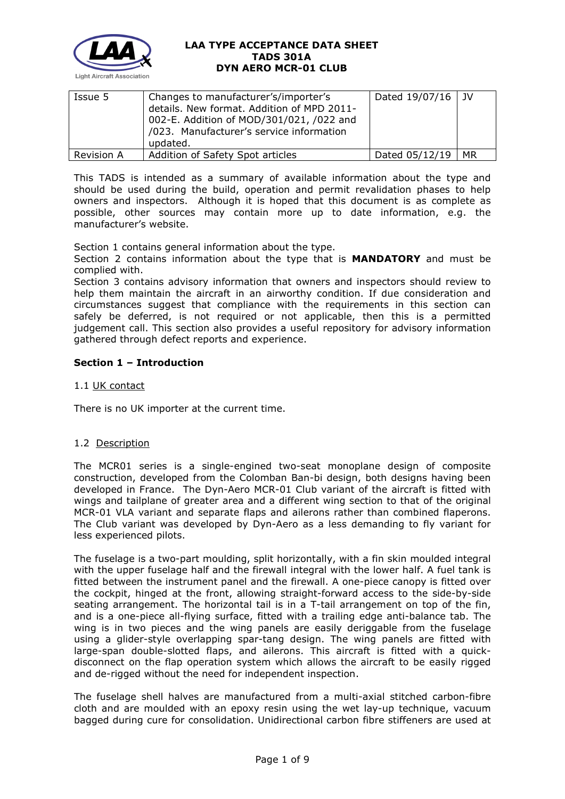

| Issue 5           | Changes to manufacturer's/importer's<br>details. New format. Addition of MPD 2011-<br>002-E. Addition of MOD/301/021, /022 and<br>/023. Manufacturer's service information<br>updated. | Dated 19/07/16   JV |    |
|-------------------|----------------------------------------------------------------------------------------------------------------------------------------------------------------------------------------|---------------------|----|
| <b>Revision A</b> | Addition of Safety Spot articles                                                                                                                                                       | Dated 05/12/19      | MR |

This TADS is intended as a summary of available information about the type and should be used during the build, operation and permit revalidation phases to help owners and inspectors. Although it is hoped that this document is as complete as possible, other sources may contain more up to date information, e.g. the manufacturer's website.

Section 1 contains general information about the type.

Section 2 contains information about the type that is **MANDATORY** and must be complied with.

Section 3 contains advisory information that owners and inspectors should review to help them maintain the aircraft in an airworthy condition. If due consideration and circumstances suggest that compliance with the requirements in this section can safely be deferred, is not required or not applicable, then this is a permitted judgement call. This section also provides a useful repository for advisory information gathered through defect reports and experience.

# **Section 1 – Introduction**

# 1.1 UK contact

There is no UK importer at the current time.

### 1.2 Description

The MCR01 series is a single-engined two-seat monoplane design of composite construction, developed from the Colomban Ban-bi design, both designs having been developed in France. The Dyn-Aero MCR-01 Club variant of the aircraft is fitted with wings and tailplane of greater area and a different wing section to that of the original MCR-01 VLA variant and separate flaps and ailerons rather than combined flaperons. The Club variant was developed by Dyn-Aero as a less demanding to fly variant for less experienced pilots.

The fuselage is a two-part moulding, split horizontally, with a fin skin moulded integral with the upper fuselage half and the firewall integral with the lower half. A fuel tank is fitted between the instrument panel and the firewall. A one-piece canopy is fitted over the cockpit, hinged at the front, allowing straight-forward access to the side-by-side seating arrangement. The horizontal tail is in a T-tail arrangement on top of the fin, and is a one-piece all-flying surface, fitted with a trailing edge anti-balance tab. The wing is in two pieces and the wing panels are easily deriggable from the fuselage using a glider-style overlapping spar-tang design. The wing panels are fitted with large-span double-slotted flaps, and ailerons. This aircraft is fitted with a quickdisconnect on the flap operation system which allows the aircraft to be easily rigged and de-rigged without the need for independent inspection.

The fuselage shell halves are manufactured from a multi-axial stitched carbon-fibre cloth and are moulded with an epoxy resin using the wet lay-up technique, vacuum bagged during cure for consolidation. Unidirectional carbon fibre stiffeners are used at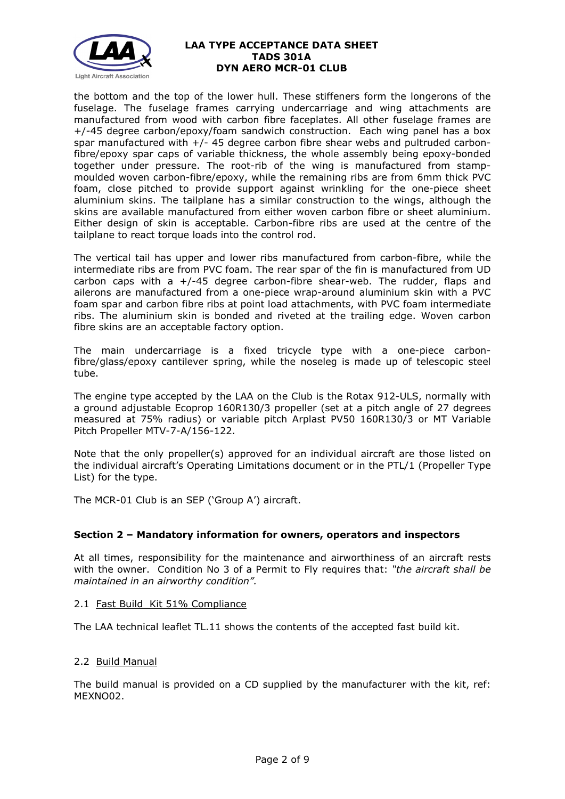

the bottom and the top of the lower hull. These stiffeners form the longerons of the fuselage. The fuselage frames carrying undercarriage and wing attachments are manufactured from wood with carbon fibre faceplates. All other fuselage frames are +/-45 degree carbon/epoxy/foam sandwich construction. Each wing panel has a box spar manufactured with +/- 45 degree carbon fibre shear webs and pultruded carbonfibre/epoxy spar caps of variable thickness, the whole assembly being epoxy-bonded together under pressure. The root-rib of the wing is manufactured from stampmoulded woven carbon-fibre/epoxy, while the remaining ribs are from 6mm thick PVC foam, close pitched to provide support against wrinkling for the one-piece sheet aluminium skins. The tailplane has a similar construction to the wings, although the skins are available manufactured from either woven carbon fibre or sheet aluminium. Either design of skin is acceptable. Carbon-fibre ribs are used at the centre of the tailplane to react torque loads into the control rod.

The vertical tail has upper and lower ribs manufactured from carbon-fibre, while the intermediate ribs are from PVC foam. The rear spar of the fin is manufactured from UD carbon caps with a  $+/-45$  degree carbon-fibre shear-web. The rudder, flaps and ailerons are manufactured from a one-piece wrap-around aluminium skin with a PVC foam spar and carbon fibre ribs at point load attachments, with PVC foam intermediate ribs. The aluminium skin is bonded and riveted at the trailing edge. Woven carbon fibre skins are an acceptable factory option.

The main undercarriage is a fixed tricycle type with a one-piece carbonfibre/glass/epoxy cantilever spring, while the noseleg is made up of telescopic steel tube.

The engine type accepted by the LAA on the Club is the Rotax 912-ULS, normally with a ground adjustable Ecoprop 160R130/3 propeller (set at a pitch angle of 27 degrees measured at 75% radius) or variable pitch Arplast PV50 160R130/3 or MT Variable Pitch Propeller MTV-7-A/156-122.

Note that the only propeller(s) approved for an individual aircraft are those listed on the individual aircraft's Operating Limitations document or in the PTL/1 (Propeller Type List) for the type.

The MCR-01 Club is an SEP ('Group A') aircraft.

### **Section 2 – Mandatory information for owners, operators and inspectors**

At all times, responsibility for the maintenance and airworthiness of an aircraft rests with the owner. Condition No 3 of a Permit to Fly requires that: *"the aircraft shall be maintained in an airworthy condition".* 

2.1 Fast Build Kit 51% Compliance

The LAA technical leaflet TL.11 shows the contents of the accepted fast build kit.

### 2.2 Build Manual

The build manual is provided on a CD supplied by the manufacturer with the kit, ref: MEXNO02.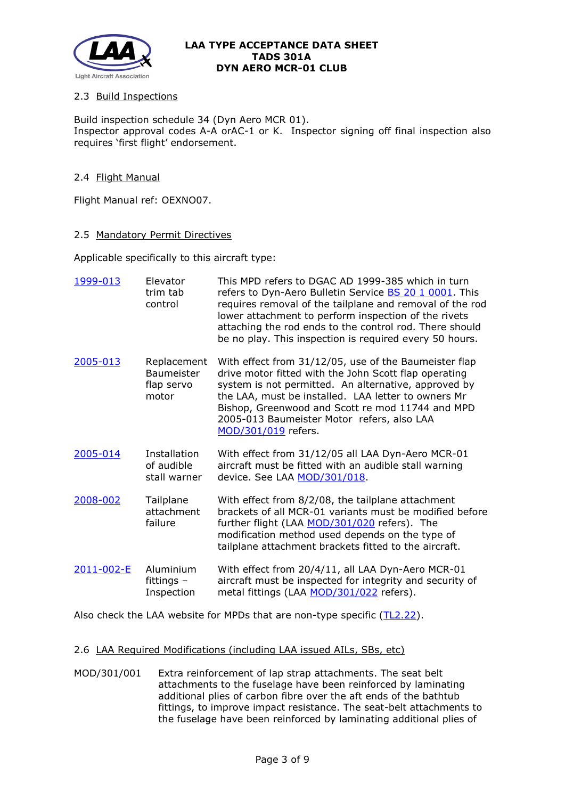

# 2.3 Build Inspections

Build inspection schedule 34 (Dyn Aero MCR 01). Inspector approval codes A-A orAC-1 or K. Inspector signing off final inspection also requires 'first flight' endorsement.

## 2.4 Flight Manual

Flight Manual ref: OEXNO07.

#### 2.5 Mandatory Permit Directives

Applicable specifically to this aircraft type:

| 1999-013   | Elevator<br>trim tab<br>control                         | This MPD refers to DGAC AD 1999-385 which in turn<br>refers to Dyn-Aero Bulletin Service <b>BS 20 1 0001</b> . This<br>requires removal of the tailplane and removal of the rod<br>lower attachment to perform inspection of the rivets<br>attaching the rod ends to the control rod. There should<br>be no play. This inspection is required every 50 hours. |
|------------|---------------------------------------------------------|---------------------------------------------------------------------------------------------------------------------------------------------------------------------------------------------------------------------------------------------------------------------------------------------------------------------------------------------------------------|
| 2005-013   | Replacement<br><b>Baumeister</b><br>flap servo<br>motor | With effect from 31/12/05, use of the Baumeister flap<br>drive motor fitted with the John Scott flap operating<br>system is not permitted. An alternative, approved by<br>the LAA, must be installed. LAA letter to owners Mr<br>Bishop, Greenwood and Scott re mod 11744 and MPD<br>2005-013 Baumeister Motor refers, also LAA<br>MOD/301/019 refers.        |
| 2005-014   | <b>Installation</b><br>of audible<br>stall warner       | With effect from 31/12/05 all LAA Dyn-Aero MCR-01<br>aircraft must be fitted with an audible stall warning<br>device. See LAA MOD/301/018.                                                                                                                                                                                                                    |
| 2008-002   | Tailplane<br>attachment<br>failure                      | With effect from 8/2/08, the tailplane attachment<br>brackets of all MCR-01 variants must be modified before<br>further flight (LAA MOD/301/020 refers). The<br>modification method used depends on the type of<br>tailplane attachment brackets fitted to the aircraft.                                                                                      |
| 2011-002-E | Aluminium<br>fittings $-$<br>Inspection                 | With effect from 20/4/11, all LAA Dyn-Aero MCR-01<br>aircraft must be inspected for integrity and security of<br>metal fittings (LAA MOD/301/022 refers).                                                                                                                                                                                                     |

Also check the LAA website for MPDs that are non-type specific [\(TL2.22\)](http://www.lightaircraftassociation.co.uk/engineering/TechnicalLeaflets/Operating%20An%20Aircraft/TL%202.22%20non-type%20specific%20MPDs.pdf).

### 2.6 LAA Required Modifications (including LAA issued AILs, SBs, etc)

MOD/301/001 Extra reinforcement of lap strap attachments. The seat belt attachments to the fuselage have been reinforced by laminating additional plies of carbon fibre over the aft ends of the bathtub fittings, to improve impact resistance. The seat-belt attachments to the fuselage have been reinforced by laminating additional plies of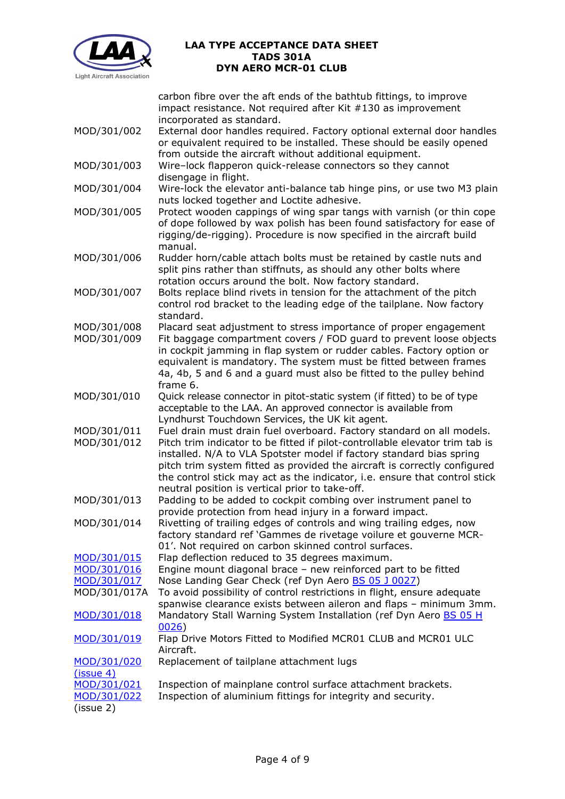

carbon fibre over the aft ends of the bathtub fittings, to improve impact resistance. Not required after Kit #130 as improvement incorporated as standard.

- MOD/301/002 External door handles required. Factory optional external door handles or equivalent required to be installed. These should be easily opened from outside the aircraft without additional equipment.
- MOD/301/003 Wire–lock flapperon quick-release connectors so they cannot disengage in flight.
- MOD/301/004 Wire-lock the elevator anti-balance tab hinge pins, or use two M3 plain nuts locked together and Loctite adhesive.
- MOD/301/005 Protect wooden cappings of wing spar tangs with varnish (or thin cope of dope followed by wax polish has been found satisfactory for ease of rigging/de-rigging). Procedure is now specified in the aircraft build manual.
- MOD/301/006 Rudder horn/cable attach bolts must be retained by castle nuts and split pins rather than stiffnuts, as should any other bolts where rotation occurs around the bolt. Now factory standard.
- MOD/301/007 Bolts replace blind rivets in tension for the attachment of the pitch control rod bracket to the leading edge of the tailplane. Now factory standard.
- MOD/301/008 Placard seat adjustment to stress importance of proper engagement MOD/301/009 Fit baggage compartment covers / FOD guard to prevent loose objects in cockpit jamming in flap system or rudder cables. Factory option or equivalent is mandatory. The system must be fitted between frames 4a, 4b, 5 and 6 and a guard must also be fitted to the pulley behind frame 6.
- MOD/301/010 Ouick release connector in pitot-static system (if fitted) to be of type acceptable to the LAA. An approved connector is available from Lyndhurst Touchdown Services, the UK kit agent.
- MOD/301/011 Fuel drain must drain fuel overboard. Factory standard on all models. MOD/301/012 Pitch trim indicator to be fitted if pilot-controllable elevator trim tab is installed. N/A to VLA Spotster model if factory standard bias spring pitch trim system fitted as provided the aircraft is correctly configured the control stick may act as the indicator, i.e. ensure that control stick
- neutral position is vertical prior to take-off. MOD/301/013 Padding to be added to cockpit combing over instrument panel to provide protection from head injury in a forward impact.
- MOD/301/014 Rivetting of trailing edges of controls and wing trailing edges, now factory standard ref 'Gammes de rivetage voilure et gouverne MCR-01'. Not required on carbon skinned control surfaces.
- [MOD/301/015](http://www.lightaircraftassociation.co.uk/engineering/TADs/301A/301-015.pdf) Flap deflection reduced to 35 degrees maximum. [MOD/301/016](http://www.lightaircraftassociation.co.uk/engineering/TADs/301A/301-016.pdf) Engine mount diagonal brace – new reinforced part to be fitted
- [MOD/301/017](http://www.lightaircraftassociation.co.uk/engineering/TADs/301A/301-017.pdf) Nose Landing Gear Check (ref Dyn Aero [BS 05 J](http://www.lightaircraftassociation.co.uk/engineering/TADs/301A/0028BS05J0027.pdf) 0027)
- MOD/301/017A To avoid possibility of control restrictions in flight, ensure adequate spanwise clearance exists between aileron and flaps – minimum 3mm. [MOD/301/018](http://www.lightaircraftassociation.co.uk/engineering/TADs/301A/301-018.pdf) Mandatory Stall Warning System Installation (ref Dyn Aero BS 05 H [0026\)](http://www.lightaircraftassociation.co.uk/engineering/TADs/301A/0027BS05H0026.pdf)
- [MOD/301/019](http://www.lightaircraftassociation.co.uk/engineering/TADs/301A/301-019.pdf) Flap Drive Motors Fitted to Modified MCR01 CLUB and MCR01 ULC Aircraft.
- [MOD/301/020](http://www.lightaircraftassociation.co.uk/engineering/TADs/301A/301-020.pdf)  Replacement of tailplane attachment lugs

[\(issue 4\)](http://www.lightaircraftassociation.co.uk/engineering/TADs/301A/301-020.pdf) [MOD/301/021](http://www.lightaircraftassociation.co.uk/engineering/TADs/301A/301-021.pdf) Inspection of mainplane control surface attachment brackets. [MOD/301/022](http://www.lightaircraftassociation.co.uk/engineering/TADs/301A/301-022.pdf) Inspection of aluminium fittings for integrity and security.

(issue 2)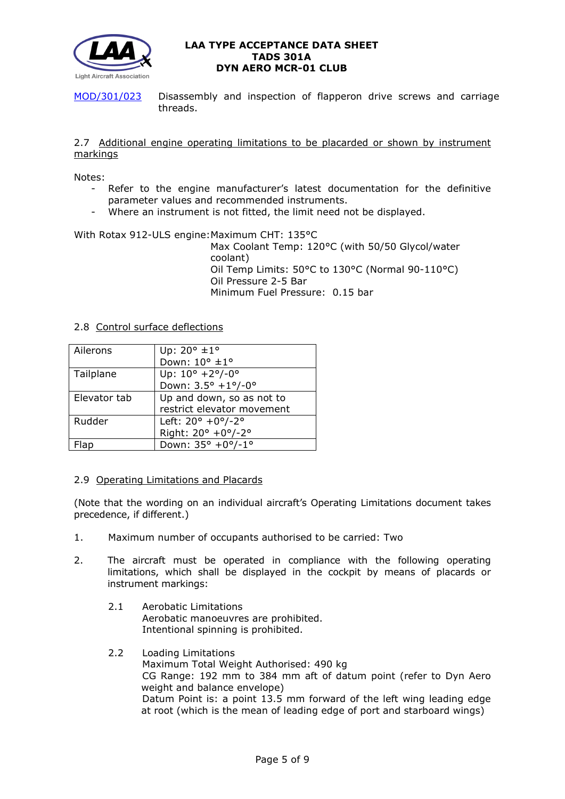

[MOD/301/023](http://www.lightaircraftassociation.co.uk/engineering/TADs/301A/301-023.pdf) Disassembly and inspection of flapperon drive screws and carriage threads.

### 2.7 Additional engine operating limitations to be placarded or shown by instrument markings

Notes:

- Refer to the engine manufacturer's latest documentation for the definitive parameter values and recommended instruments.
- Where an instrument is not fitted, the limit need not be displayed.

### With Rotax 912-ULS engine: Maximum CHT: 135°C

Max Coolant Temp: 120°C (with 50/50 Glycol/water coolant) Oil Temp Limits: 50°C to 130°C (Normal 90-110°C) Oil Pressure 2-5 Bar Minimum Fuel Pressure: 0.15 bar

### 2.8 Control surface deflections

| Ailerons     | Up: 20° ±1°                        |
|--------------|------------------------------------|
|              | Down: $10^{\circ}$ $\pm 1^{\circ}$ |
| Tailplane    | Up: $10^{\circ}$ +2°/-0°           |
|              | Down: $3.5^{\circ}$ +1°/-0°        |
| Elevator tab | Up and down, so as not to          |
|              | restrict elevator movement         |
| Rudder       | Left: $20^{\circ}$ +0°/-2°         |
|              | Right: 20° +0°/-2°                 |
|              | Down: 35° +0°/-1°                  |

### 2.9 Operating Limitations and Placards

(Note that the wording on an individual aircraft's Operating Limitations document takes precedence, if different.)

- 1. Maximum number of occupants authorised to be carried: Two
- 2. The aircraft must be operated in compliance with the following operating limitations, which shall be displayed in the cockpit by means of placards or instrument markings:
	- 2.1 Aerobatic Limitations Aerobatic manoeuvres are prohibited. Intentional spinning is prohibited.
	- 2.2 Loading Limitations Maximum Total Weight Authorised: 490 kg CG Range: 192 mm to 384 mm aft of datum point (refer to Dyn Aero weight and balance envelope) Datum Point is: a point 13.5 mm forward of the left wing leading edge at root (which is the mean of leading edge of port and starboard wings)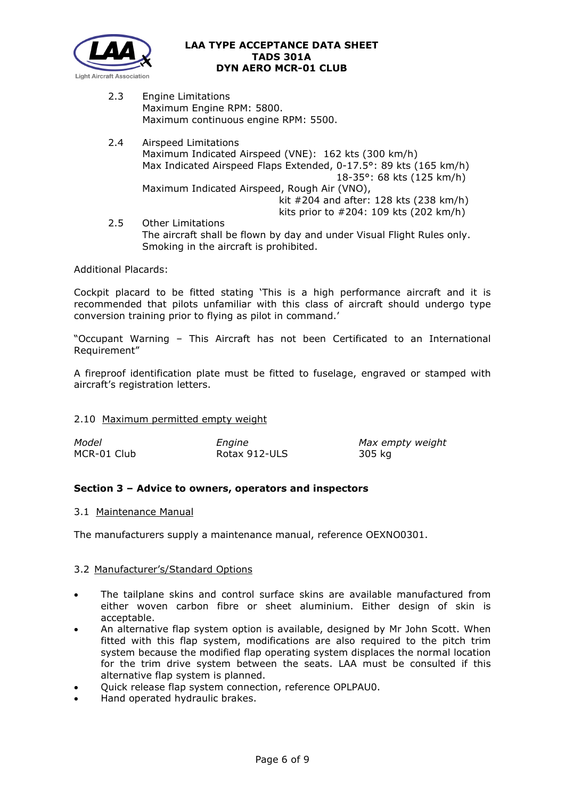

2.3 Engine Limitations Maximum Engine RPM: 5800. Maximum continuous engine RPM: 5500.

Smoking in the aircraft is prohibited.

2.4 Airspeed Limitations Maximum Indicated Airspeed (VNE): 162 kts (300 km/h) Max Indicated Airspeed Flaps Extended, 0-17.5°: 89 kts (165 km/h) 18-35°: 68 kts (125 km/h) Maximum Indicated Airspeed, Rough Air (VNO), kit #204 and after: 128 kts (238 km/h) kits prior to #204: 109 kts (202 km/h) 2.5 Other Limitations The aircraft shall be flown by day and under Visual Flight Rules only.

Additional Placards:

Cockpit placard to be fitted stating 'This is a high performance aircraft and it is recommended that pilots unfamiliar with this class of aircraft should undergo type conversion training prior to flying as pilot in command.'

"Occupant Warning – This Aircraft has not been Certificated to an International Requirement"

A fireproof identification plate must be fitted to fuselage, engraved or stamped with aircraft's registration letters.

### 2.10 Maximum permitted empty weight

| Model       | Engine        | Max empty weight |
|-------------|---------------|------------------|
| MCR-01 Club | Rotax 912-ULS | 305 kg           |

# **Section 3 – Advice to owners, operators and inspectors**

#### 3.1 Maintenance Manual

The manufacturers supply a maintenance manual, reference OEXNO0301.

#### 3.2 Manufacturer's/Standard Options

- The tailplane skins and control surface skins are available manufactured from either woven carbon fibre or sheet aluminium. Either design of skin is acceptable.
- An alternative flap system option is available, designed by Mr John Scott. When fitted with this flap system, modifications are also required to the pitch trim system because the modified flap operating system displaces the normal location for the trim drive system between the seats. LAA must be consulted if this alternative flap system is planned.
- Quick release flap system connection, reference OPLPAU0.
- Hand operated hydraulic brakes.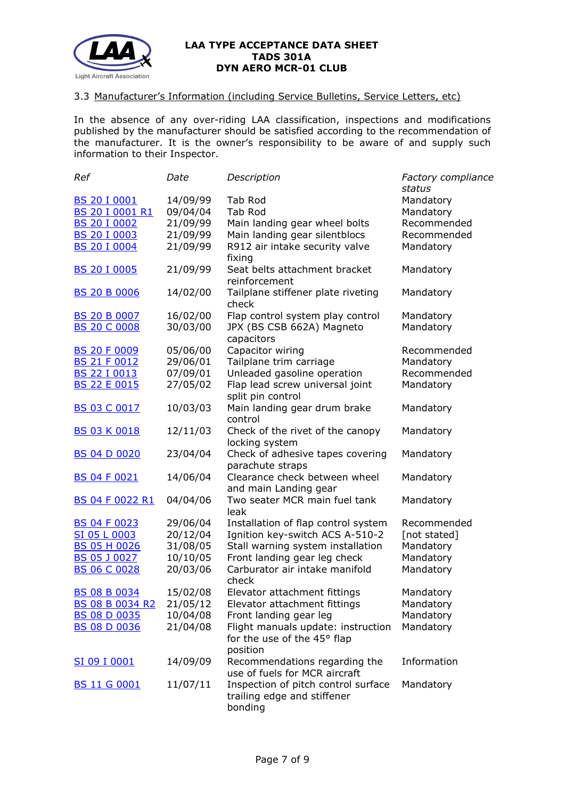

### 3.3 Manufacturer's Information (including Service Bulletins, Service Letters, etc)

In the absence of any over-riding LAA classification, inspections and modifications published by the manufacturer should be satisfied according to the recommendation of the manufacturer. It is the owner's responsibility to be aware of and supply such information to their Inspector.

| Ref                    | Date     | Description                                                                   | Factory compliance |
|------------------------|----------|-------------------------------------------------------------------------------|--------------------|
|                        |          |                                                                               | status             |
| <b>BS 20 I 0001</b>    | 14/09/99 | Tab Rod                                                                       | Mandatory          |
| BS 20 I 0001 R1        | 09/04/04 | Tab Rod                                                                       | Mandatory          |
| <b>BS 20 I 0002</b>    | 21/09/99 | Main landing gear wheel bolts                                                 | Recommended        |
| <b>BS 20 I 0003</b>    | 21/09/99 | Main landing gear silentblocs                                                 | Recommended        |
| <b>BS 20 I 0004</b>    | 21/09/99 | R912 air intake security valve<br>fixing                                      | Mandatory          |
| <b>BS 20 I 0005</b>    | 21/09/99 | Seat belts attachment bracket<br>reinforcement                                | Mandatory          |
| <b>BS 20 B 0006</b>    | 14/02/00 | Tailplane stiffener plate riveting<br>check                                   | Mandatory          |
| <b>BS 20 B 0007</b>    | 16/02/00 | Flap control system play control                                              | Mandatory          |
| <b>BS 20 C 0008</b>    | 30/03/00 | JPX (BS CSB 662A) Magneto<br>capacitors                                       | Mandatory          |
| <b>BS 20 F 0009</b>    | 05/06/00 | Capacitor wiring                                                              | Recommended        |
| <b>BS 21 F 0012</b>    | 29/06/01 | Tailplane trim carriage                                                       | Mandatory          |
| BS 22 I 0013           | 07/09/01 | Unleaded gasoline operation                                                   | Recommended        |
| <b>BS 22 E 0015</b>    | 27/05/02 | Flap lead screw universal joint                                               | Mandatory          |
|                        |          | split pin control                                                             |                    |
| <b>BS 03 C 0017</b>    | 10/03/03 | Main landing gear drum brake<br>control                                       | Mandatory          |
| <b>BS 03 K 0018</b>    | 12/11/03 | Check of the rivet of the canopy<br>locking system                            | Mandatory          |
| <b>BS 04 D 0020</b>    | 23/04/04 | Check of adhesive tapes covering<br>parachute straps                          | Mandatory          |
| <b>BS 04 F 0021</b>    | 14/06/04 | Clearance check between wheel<br>and main Landing gear                        | Mandatory          |
| <b>BS 04 F 0022 R1</b> | 04/04/06 | Two seater MCR main fuel tank<br>leak                                         | Mandatory          |
| <b>BS 04 F 0023</b>    | 29/06/04 | Installation of flap control system                                           | Recommended        |
| SI 05 L 0003           | 20/12/04 | Ignition key-switch ACS A-510-2                                               | [not stated]       |
| <b>BS 05 H 0026</b>    | 31/08/05 | Stall warning system installation                                             | Mandatory          |
| <b>BS 05 J 0027</b>    | 10/10/05 | Front landing gear leg check                                                  | Mandatory          |
| <b>BS 06 C 0028</b>    | 20/03/06 | Carburator air intake manifold                                                | Mandatory          |
|                        |          | check                                                                         |                    |
| <b>BS 08 B 0034</b>    | 15/02/08 | Elevator attachment fittings                                                  | Mandatory          |
| BS 08 B 0034 R2        | 21/05/12 | Elevator attachment fittings                                                  | Mandatory          |
| <b>BS 08 D 0035</b>    | 10/04/08 | Front landing gear leg                                                        | Mandatory          |
| <b>BS 08 D 0036</b>    | 21/04/08 | Flight manuals update: instruction<br>for the use of the 45° flap<br>position | Mandatory          |
| SI 09 I 0001           | 14/09/09 | Recommendations regarding the<br>use of fuels for MCR aircraft                | Information        |
| <b>BS 11 G 0001</b>    | 11/07/11 | Inspection of pitch control surface<br>trailing edge and stiffener<br>bonding | Mandatory          |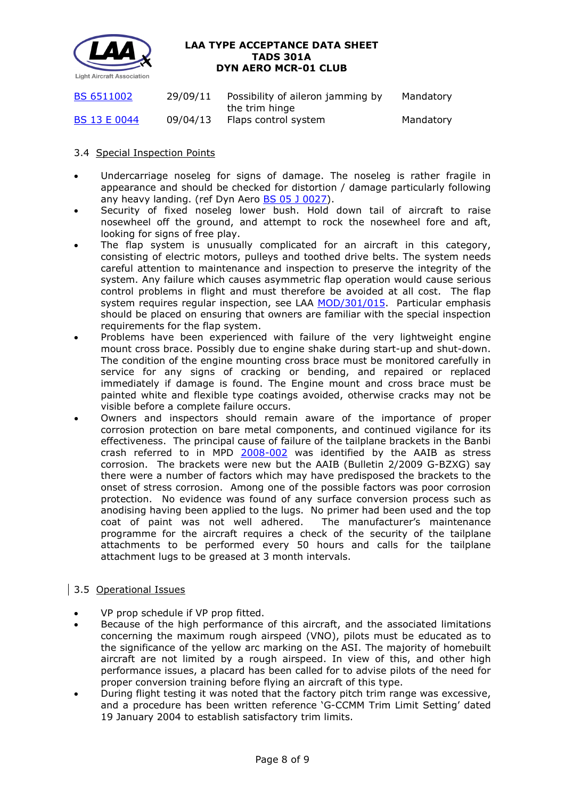

| <b>BS 6511002</b>   | 29/09/11 | Possibility of aileron jamming by<br>the trim hinge | Mandatory |
|---------------------|----------|-----------------------------------------------------|-----------|
| <b>BS 13 E 0044</b> | 09/04/13 | Flaps control system                                | Mandatory |

# 3.4 Special Inspection Points

- Undercarriage noseleg for signs of damage. The noseleg is rather fragile in appearance and should be checked for distortion / damage particularly following any heavy landing. (ref Dyn Aero [BS 05 J](http://www.lightaircraftassociation.co.uk/engineering/TADs/301A/0028BS05J0027.pdf) 0027).
- Security of fixed noseleg lower bush. Hold down tail of aircraft to raise nosewheel off the ground, and attempt to rock the nosewheel fore and aft, looking for signs of free play.
- The flap system is unusually complicated for an aircraft in this category, consisting of electric motors, pulleys and toothed drive belts. The system needs careful attention to maintenance and inspection to preserve the integrity of the system. Any failure which causes asymmetric flap operation would cause serious control problems in flight and must therefore be avoided at all cost. The flap system requires regular inspection, see LAA [MOD/301/015.](http://www.lightaircraftassociation.co.uk/engineering/TADs/301A/301-015.pdf) Particular emphasis should be placed on ensuring that owners are familiar with the special inspection requirements for the flap system.
- Problems have been experienced with failure of the very lightweight engine mount cross brace. Possibly due to engine shake during start-up and shut-down. The condition of the engine mounting cross brace must be monitored carefully in service for any signs of cracking or bending, and repaired or replaced immediately if damage is found. The Engine mount and cross brace must be painted white and flexible type coatings avoided, otherwise cracks may not be visible before a complete failure occurs.
- Owners and inspectors should remain aware of the importance of proper corrosion protection on bare metal components, and continued vigilance for its effectiveness. The principal cause of failure of the tailplane brackets in the Banbi crash referred to in MPD [2008-002](http://www.lightaircraftassociation.co.uk/engineering/TADs/301A/2008-002.pdf) was identified by the AAIB as stress corrosion. The brackets were new but the AAIB (Bulletin 2/2009 G-BZXG) say there were a number of factors which may have predisposed the brackets to the onset of stress corrosion. Among one of the possible factors was poor corrosion protection. No evidence was found of any surface conversion process such as anodising having been applied to the lugs. No primer had been used and the top coat of paint was not well adhered. The manufacturer's maintenance programme for the aircraft requires a check of the security of the tailplane attachments to be performed every 50 hours and calls for the tailplane attachment lugs to be greased at 3 month intervals.

# 3.5 Operational Issues

- VP prop schedule if VP prop fitted.
- Because of the high performance of this aircraft, and the associated limitations concerning the maximum rough airspeed (VNO), pilots must be educated as to the significance of the yellow arc marking on the ASI. The majority of homebuilt aircraft are not limited by a rough airspeed. In view of this, and other high performance issues, a placard has been called for to advise pilots of the need for proper conversion training before flying an aircraft of this type.
- During flight testing it was noted that the factory pitch trim range was excessive, and a procedure has been written reference 'G-CCMM Trim Limit Setting' dated 19 January 2004 to establish satisfactory trim limits.